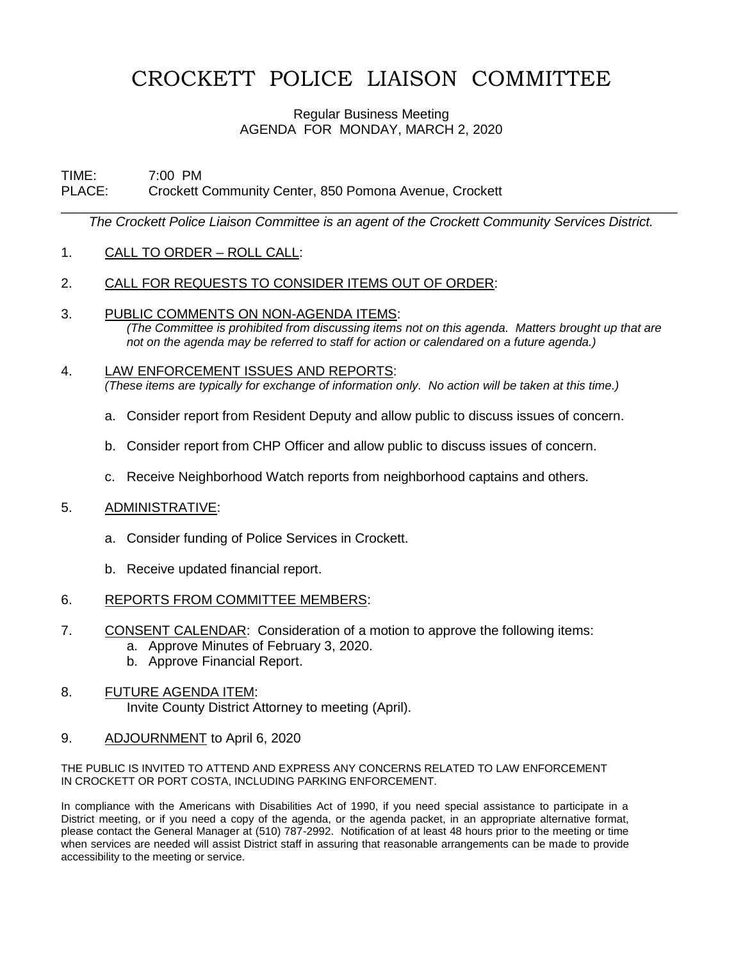# CROCKETT POLICE LIAISON COMMITTEE

### Regular Business Meeting AGENDA FOR MONDAY, MARCH 2, 2020

#### TIME: 7:00 PM PLACE: Crockett Community Center, 850 Pomona Avenue, Crockett

\_\_\_\_\_\_\_\_\_\_\_\_\_\_\_\_\_\_\_\_\_\_\_\_\_\_\_\_\_\_\_\_\_\_\_\_\_\_\_\_\_\_\_\_\_\_\_\_\_\_\_\_\_\_\_\_\_\_\_\_\_\_\_\_\_\_\_\_\_\_\_\_\_\_\_\_\_\_\_\_\_\_\_ *The Crockett Police Liaison Committee is an agent of the Crockett Community Services District.*

## 1. CALL TO ORDER – ROLL CALL:

## 2. CALL FOR REQUESTS TO CONSIDER ITEMS OUT OF ORDER:

3. PUBLIC COMMENTS ON NON-AGENDA ITEMS:

*(The Committee is prohibited from discussing items not on this agenda. Matters brought up that are not on the agenda may be referred to staff for action or calendared on a future agenda.)*

#### 4. LAW ENFORCEMENT ISSUES AND REPORTS: *(These items are typically for exchange of information only. No action will be taken at this time.)*

- a. Consider report from Resident Deputy and allow public to discuss issues of concern.
- b. Consider report from CHP Officer and allow public to discuss issues of concern.
- c. Receive Neighborhood Watch reports from neighborhood captains and others.

#### 5. ADMINISTRATIVE:

- a. Consider funding of Police Services in Crockett.
- b. Receive updated financial report.

## 6. REPORTS FROM COMMITTEE MEMBERS:

- 7. CONSENT CALENDAR: Consideration of a motion to approve the following items:
	- a. Approve Minutes of February 3, 2020.
	- b. Approve Financial Report.
- 8. FUTURE AGENDA ITEM: Invite County District Attorney to meeting (April).
- 9. ADJOURNMENT to April 6, 2020

#### THE PUBLIC IS INVITED TO ATTEND AND EXPRESS ANY CONCERNS RELATED TO LAW ENFORCEMENT IN CROCKETT OR PORT COSTA, INCLUDING PARKING ENFORCEMENT.

In compliance with the Americans with Disabilities Act of 1990, if you need special assistance to participate in a District meeting, or if you need a copy of the agenda, or the agenda packet, in an appropriate alternative format, please contact the General Manager at (510) 787-2992. Notification of at least 48 hours prior to the meeting or time when services are needed will assist District staff in assuring that reasonable arrangements can be made to provide accessibility to the meeting or service.